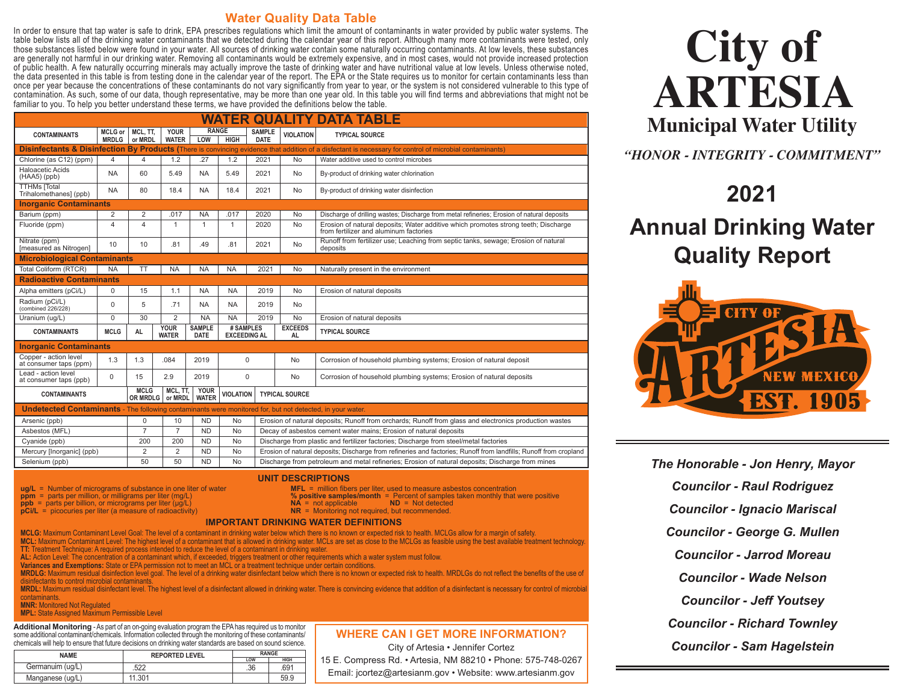#### **Water Quality Data Table**

In order to ensure that tap water is safe to drink, EPA prescribes regulations which limit the amount of contaminants in water provided by public water systems. The table below lists all of the drinking water contaminants that we detected during the calendar year of this report. Although many more contaminants were tested, only those substances listed below were found in your water. All sources of drinking water contain some naturally occurring contaminants. At low levels, these substances are generally not harmful in our drinking water. Removing all contaminants would be extremely expensive, and in most cases, would not provide increased protection of public health. A few naturally occurring minerals may actually improve the taste of drinking water and have nutritional value at low levels. Unless otherwise noted, the data presented in this table is from testing done in the calendar year of the report. The EPA or the State requires us to monitor for certain contaminants less than once per year because the concentrations of these contaminants do not vary significantly from year to year, or the system is not considered vulnerable to this type of contamination. As such, some of our data, though representative, may be more than one year old. In this table you will find terms and abbreviations that might not be familiar to you. To help you better understand these terms, we have provided the definitions below the table.

| <b>WATER QUALITY DATA TABLE</b>                                                                                  |                                |                                |                             |                              |                  |                                                    |                                                                                                                   |                                                                                                                                                          |  |  |  |
|------------------------------------------------------------------------------------------------------------------|--------------------------------|--------------------------------|-----------------------------|------------------------------|------------------|----------------------------------------------------|-------------------------------------------------------------------------------------------------------------------|----------------------------------------------------------------------------------------------------------------------------------------------------------|--|--|--|
| <b>CONTAMINANTS</b>                                                                                              | <b>MCLG</b> or<br><b>MRDLG</b> | MCL. TT.<br>or MRDL            | <b>YOUR</b><br><b>WATER</b> | <b>RANGE</b><br>LOW          | <b>HIGH</b>      | <b>SAMPLE</b><br><b>DATE</b>                       | <b>VIOLATION</b>                                                                                                  | <b>TYPICAL SOURCE</b>                                                                                                                                    |  |  |  |
|                                                                                                                  |                                |                                |                             |                              |                  |                                                    |                                                                                                                   | Disinfectants & Disinfection By Products (There is convincing evidence that addition of a disfectant is necessary for control of microbial contaminants) |  |  |  |
| Chlorine (as C12) (ppm)                                                                                          | $\overline{4}$                 | 4                              | 1.2                         | .27                          | 1.2              | 2021                                               | <b>No</b>                                                                                                         | Water additive used to control microbes                                                                                                                  |  |  |  |
| Haloacetic Acids<br>$(HAA5)$ (ppb)                                                                               | <b>NA</b>                      | 60                             | 5.49                        | <b>NA</b>                    | 5.49             | 2021                                               | <b>No</b>                                                                                                         | By-product of drinking water chlorination                                                                                                                |  |  |  |
| <b>TTHMs [Total</b><br>Trihalomethanes] (ppb)                                                                    | <b>NA</b>                      | 80                             | 18.4                        | <b>NA</b>                    | 18.4             | 2021                                               | By-product of drinking water disinfection<br><b>No</b>                                                            |                                                                                                                                                          |  |  |  |
| <b>Inorganic Contaminants</b>                                                                                    |                                |                                |                             |                              |                  |                                                    |                                                                                                                   |                                                                                                                                                          |  |  |  |
| Barium (ppm)                                                                                                     | 2                              | 2                              | .017                        | <b>NA</b>                    | .017             | 2020                                               | <b>No</b>                                                                                                         | Discharge of drilling wastes; Discharge from metal refineries; Erosion of natural deposits                                                               |  |  |  |
| Fluoride (ppm)                                                                                                   | 4                              | 4                              | $\mathbf{1}$                | $\overline{1}$               | $\mathbf{1}$     | 2020<br><b>No</b>                                  |                                                                                                                   | Erosion of natural deposits; Water additive which promotes strong teeth; Discharge<br>from fertilizer and aluminum factories                             |  |  |  |
| Nitrate (ppm)<br>[measured as Nitrogen]                                                                          | 10                             | 10                             | .81                         | .49                          | .81              | 2021                                               | <b>No</b>                                                                                                         | Runoff from fertilizer use; Leaching from septic tanks, sewage; Erosion of natural<br>deposits                                                           |  |  |  |
| <b>Microbiological Contaminants</b>                                                                              |                                |                                |                             |                              |                  |                                                    |                                                                                                                   |                                                                                                                                                          |  |  |  |
| Total Coliform (RTCR)                                                                                            | <b>NA</b>                      | <b>TT</b>                      | <b>NA</b>                   | <b>NA</b>                    | <b>NA</b>        | 2021                                               | <b>No</b>                                                                                                         | Naturally present in the environment                                                                                                                     |  |  |  |
| <b>Radioactive Contaminants</b>                                                                                  |                                |                                |                             |                              |                  |                                                    |                                                                                                                   |                                                                                                                                                          |  |  |  |
| Alpha emitters (pCi/L)                                                                                           | $\mathbf 0$                    | 15                             | 1.1                         | <b>NA</b>                    | <b>NA</b>        | 2019                                               | <b>No</b>                                                                                                         | Erosion of natural deposits                                                                                                                              |  |  |  |
| Radium (pCi/L)<br>(combined 226/228)                                                                             | $\Omega$                       | 5                              | .71                         | <b>NA</b>                    | <b>NA</b>        | 2019                                               | No.                                                                                                               |                                                                                                                                                          |  |  |  |
| Uranium (ug/L)                                                                                                   | $\Omega$                       | 30                             | $\overline{2}$              | <b>NA</b>                    | <b>NA</b>        | 2019                                               | <b>No</b>                                                                                                         | Erosion of natural deposits                                                                                                                              |  |  |  |
| <b>CONTAMINANTS</b>                                                                                              | <b>MCLG</b>                    | <b>AL</b>                      | <b>YOUR</b><br><b>WATER</b> | <b>SAMPLE</b><br><b>DATE</b> |                  | # SAMPLES<br><b>EXCEEDS</b><br><b>EXCEEDING AL</b> |                                                                                                                   | <b>TYPICAL SOURCE</b>                                                                                                                                    |  |  |  |
| <b>Inorganic Contaminants</b>                                                                                    |                                |                                |                             |                              |                  |                                                    |                                                                                                                   |                                                                                                                                                          |  |  |  |
| Copper - action level<br>at consumer taps (ppm)                                                                  | 1.3                            | 1.3                            | .084                        | 2019                         | $\mathbf 0$      |                                                    | <b>No</b>                                                                                                         | Corrosion of household plumbing systems; Erosion of natural deposit                                                                                      |  |  |  |
| Lead - action level<br>at consumer taps (ppb)                                                                    | $\Omega$                       | 15                             | 2.9                         | 2019                         | $\mathbf 0$      |                                                    | <b>No</b>                                                                                                         | Corrosion of household plumbing systems; Erosion of natural deposits                                                                                     |  |  |  |
| <b>CONTAMINANTS</b>                                                                                              |                                | <b>MCLG</b><br><b>OR MRDLG</b> | MCL. TT.<br>or MRDL         | <b>YOUR</b><br><b>WATER</b>  | <b>VIOLATION</b> |                                                    | <b>TYPICAL SOURCE</b>                                                                                             |                                                                                                                                                          |  |  |  |
| <b>Undetected Contaminants</b> - The following contaminants were monitored for, but not detected, in your water. |                                |                                |                             |                              |                  |                                                    |                                                                                                                   |                                                                                                                                                          |  |  |  |
| Arsenic (ppb)                                                                                                    |                                | 0                              | 10                          | <b>ND</b>                    | No               |                                                    | Erosion of natural deposits; Runoff from orchards; Runoff from glass and electronics production wastes            |                                                                                                                                                          |  |  |  |
| Asbestos (MFL)                                                                                                   |                                | $\overline{7}$                 | $\overline{7}$              | <b>ND</b>                    | <b>No</b>        |                                                    | Decay of asbestos cement water mains; Erosion of natural deposits                                                 |                                                                                                                                                          |  |  |  |
| Cyanide (ppb)                                                                                                    |                                | 200                            | 200                         | <b>ND</b>                    | <b>No</b>        |                                                    |                                                                                                                   | Discharge from plastic and fertilizer factories; Discharge from steel/metal factories                                                                    |  |  |  |
| Mercury [Inorganic] (ppb)                                                                                        |                                | $\overline{2}$                 | $\overline{2}$              | <b>ND</b>                    | No               |                                                    | Erosion of natural deposits; Discharge from refineries and factories; Runoff from landfills; Runoff from cropland |                                                                                                                                                          |  |  |  |

**UNIT DESCRIPTIONS**

Selenium (ppb) 50 50 ND No Discharge from petroleum and metal refineries; Erosion of natural deposits; Discharge from mines

- **ug/L** = Number of micrograms of substance in one liter of water **MFL** = million fibers per liter, used to measure asbestos concentration **ppm** = parts per million, or milligrams per liter (mg/L) **% positive samples/month** = Percent of samples taken monthly that were positive
- 
- **ppb** = parts per billion, or micrograms per liter (μg/L) **NA** = not applicable **ND** = Not detected<br>**pCi/L** = picocuries per liter (a measure of radioactivity) **NR** = Monitoring not required, but recommended. **pCi/L** = picocuries per liter (a measure of radioactivity)

#### **IMPORTANT DRINKING WATER DEFINITIONS**

**MCLG:** Maximum Contaminant Level Goal: The level of a contaminant in drinking water below which there is no known or expected risk to health. MCLGs allow for a margin of safety. **MCL:** Maximum Contaminant Level: The highest level of a contaminant that is allowed in drinking water. MCLs are set as close to the MCLGs as feasible using the best available treatment technology. **TT:** Treatment Technique: A required process intended to reduce the level of a contaminant in drinking water.

**AL:** Action Level: The concentration of a contaminant which, if exceeded, triggers treatment or other requirements which a water system must follow.

**Variances and Exemptions:** State or EPA permission not to meet an MCL or a treatment technique under certain conditions.

**MRDLG:** Maximum residual disinfection level goal. The level of a drinking water disinfectant below which there is no known or expected risk to health. MRDLGs do not reflect the benefits of the use of disinfectants to control microbial contaminants.

**MRDL:** Maximum residual disinfectant level. The highest level of a disinfectant allowed in drinking water. There is convincing evidence that addition of a disinfectant is necessary for control of microbial contaminants.

**MNR:** Monitored Not Regulated

**MPL:** State Assigned Maximum Permissible Level

**Additional Monitoring** - As part of an on-going evaluation program the EPA has required us to monitor some additional contaminant/chemicals. Information collected through the monitoring of these contaminants/ chemicals will help to ensure that future decisions on drinking water standards are based on sound science.

| <b>NAME</b>      | <b>REPORTED LEVEL</b> | <b>RANGE</b> |                  |
|------------------|-----------------------|--------------|------------------|
|                  |                       | LOW          | <b>HIGH</b>      |
| Germanuim (ug/L) | .522                  | .36          | .69 <sup>°</sup> |
| Manganese (ug/L) |                       |              | 59.S             |

#### **WHERE CAN I GET MORE INFORMATION?**

City of Artesia • Jennifer Cortez 15 E. Compress Rd. • Artesia, NM 88210 • Phone: 575-748-0267 Email: jcortez@artesianm.gov • Website: www.artesianm.gov

# **City of ARTESIA Municipal Water Utility**

*"HONOR - INTEGRITY - COMMITMENT"*

### **2021**

## **Annual Drinking Water Quality Report**



*The Honorable - Jon Henry, Mayor Councilor - Raul Rodriguez Councilor - Ignacio Mariscal Councilor - George G. Mullen Councilor - Jarrod Moreau Councilor - Wade Nelson Councilor - Jeff Youtsey Councilor - Richard Townley Councilor - Sam Hagelstein*